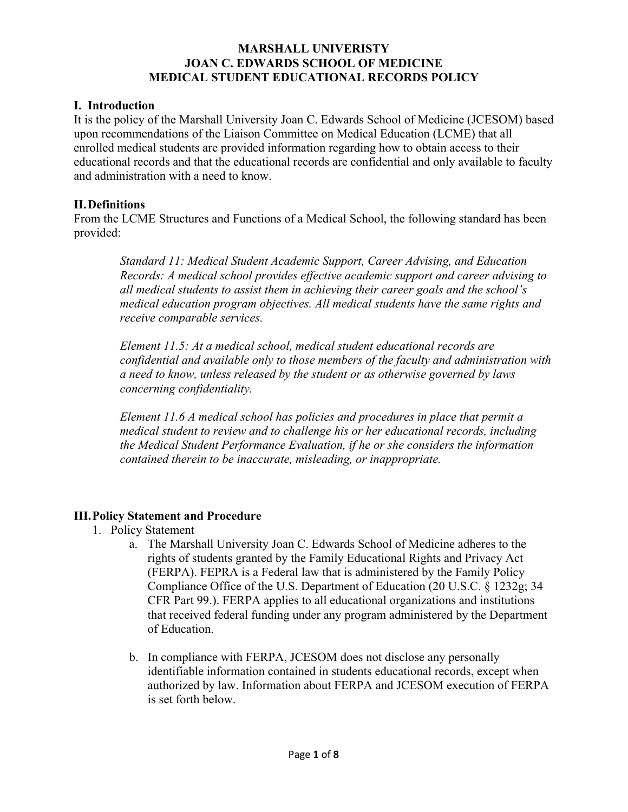## **MARSHALL UNIVERISTY JOAN C. EDWARDS SCHOOL OF MEDICINE MEDICAL STUDENT EDUCATIONAL RECORDS POLICY**

## **I. Introduction**

It is the policy of the Marshall University Joan C. Edwards School of Medicine (JCESOM) based upon recommendations of the Liaison Committee on Medical Education (LCME) that all enrolled medical students are provided information regarding how to obtain access to their educational records and that the educational records are confidential and only available to faculty and administration with a need to know.

## **II.Definitions**

From the LCME Structures and Functions of a Medical School, the following standard has been provided:

*Standard 11: Medical Student Academic Support, Career Advising, and Education Records: A medical school provides effective academic support and career advising to all medical students to assist them in achieving their career goals and the school's medical education program objectives. All medical students have the same rights and receive comparable services.*

*Element 11.5: At a medical school, medical student educational records are confidential and available only to those members of the faculty and administration with a need to know, unless released by the student or as otherwise governed by laws concerning confidentiality.*

*Element 11.6 A medical school has policies and procedures in place that permit a medical student to review and to challenge his or her educational records, including the Medical Student Performance Evaluation, if he or she considers the information contained therein to be inaccurate, misleading, or inappropriate.*

## **III.Policy Statement and Procedure**

- 1. Policy Statement
	- a. The Marshall University Joan C. Edwards School of Medicine adheres to the rights of students granted by the Family Educational Rights and Privacy Act (FERPA). FEPRA is a Federal law that is administered by the Family Policy Compliance Office of the U.S. Department of Education (20 U.S.C. § 1232g; 34 CFR Part 99.). FERPA applies to all educational organizations and institutions that received federal funding under any program administered by the Department of Education.
	- b. In compliance with FERPA, JCESOM does not disclose any personally identifiable information contained in students educational records, except when authorized by law. Information about FERPA and JCESOM execution of FERPA is set forth below.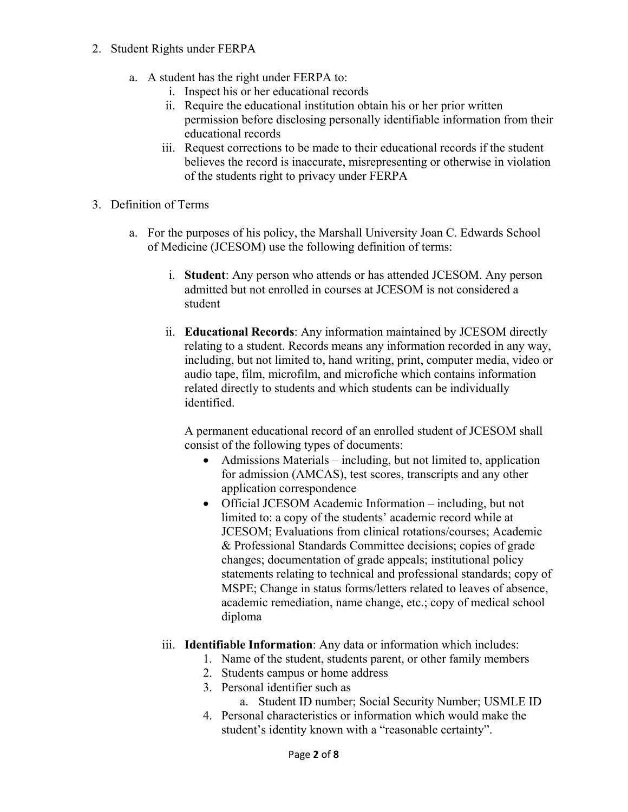- 2. Student Rights under FERPA
	- a. A student has the right under FERPA to:
		- i. Inspect his or her educational records
		- ii. Require the educational institution obtain his or her prior written permission before disclosing personally identifiable information from their educational records
		- iii. Request corrections to be made to their educational records if the student believes the record is inaccurate, misrepresenting or otherwise in violation of the students right to privacy under FERPA
- 3. Definition of Terms
	- a. For the purposes of his policy, the Marshall University Joan C. Edwards School of Medicine (JCESOM) use the following definition of terms:
		- i. **Student**: Any person who attends or has attended JCESOM. Any person admitted but not enrolled in courses at JCESOM is not considered a student
		- ii. **Educational Records**: Any information maintained by JCESOM directly relating to a student. Records means any information recorded in any way, including, but not limited to, hand writing, print, computer media, video or audio tape, film, microfilm, and microfiche which contains information related directly to students and which students can be individually identified.

A permanent educational record of an enrolled student of JCESOM shall consist of the following types of documents:

- Admissions Materials including, but not limited to, application for admission (AMCAS), test scores, transcripts and any other application correspondence
- Official JCESOM Academic Information including, but not limited to: a copy of the students' academic record while at JCESOM; Evaluations from clinical rotations/courses; Academic & Professional Standards Committee decisions; copies of grade changes; documentation of grade appeals; institutional policy statements relating to technical and professional standards; copy of MSPE; Change in status forms/letters related to leaves of absence, academic remediation, name change, etc.; copy of medical school diploma
- iii. **Identifiable Information**: Any data or information which includes:
	- 1. Name of the student, students parent, or other family members
	- 2. Students campus or home address
	- 3. Personal identifier such as
		- a. Student ID number; Social Security Number; USMLE ID
	- 4. Personal characteristics or information which would make the student's identity known with a "reasonable certainty".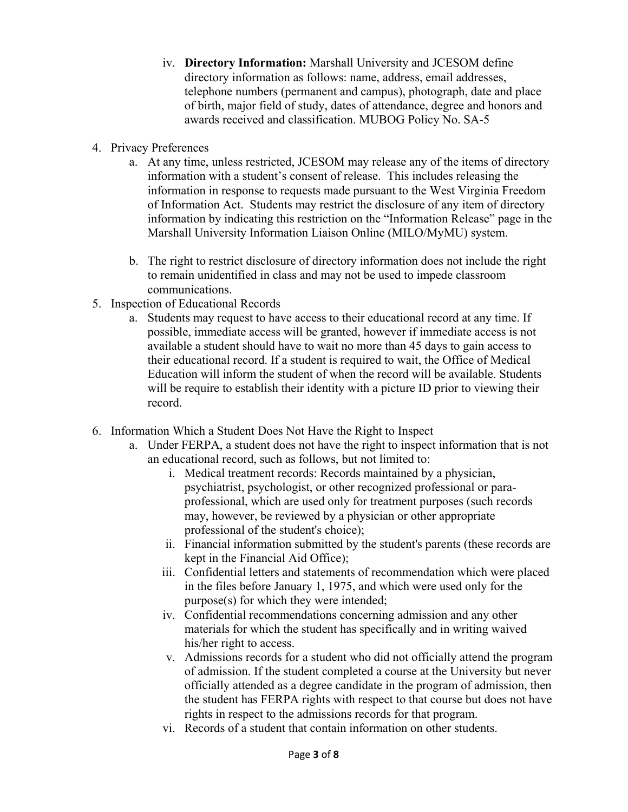- iv. **Directory Information:** Marshall University and JCESOM define directory information as follows: name, address, email addresses, telephone numbers (permanent and campus), photograph, date and place of birth, major field of study, dates of attendance, degree and honors and awards received and classification. MUBOG Policy No. SA-5
- 4. Privacy Preferences
	- a. At any time, unless restricted, JCESOM may release any of the items of directory information with a student's consent of release. This includes releasing the information in response to requests made pursuant to the West Virginia Freedom of Information Act. Students may restrict the disclosure of any item of directory information by indicating this restriction on the "Information Release" page in the Marshall University Information Liaison Online (MILO/MyMU) system.
	- b. The right to restrict disclosure of directory information does not include the right to remain unidentified in class and may not be used to impede classroom communications.
- 5. Inspection of Educational Records
	- a. Students may request to have access to their educational record at any time. If possible, immediate access will be granted, however if immediate access is not available a student should have to wait no more than 45 days to gain access to their educational record. If a student is required to wait, the Office of Medical Education will inform the student of when the record will be available. Students will be require to establish their identity with a picture ID prior to viewing their record.
- 6. Information Which a Student Does Not Have the Right to Inspect
	- a. Under FERPA, a student does not have the right to inspect information that is not an educational record, such as follows, but not limited to:
		- i. Medical treatment records: Records maintained by a physician, psychiatrist, psychologist, or other recognized professional or paraprofessional, which are used only for treatment purposes (such records may, however, be reviewed by a physician or other appropriate professional of the student's choice);
		- ii. Financial information submitted by the student's parents (these records are kept in the Financial Aid Office);
		- iii. Confidential letters and statements of recommendation which were placed in the files before January 1, 1975, and which were used only for the purpose(s) for which they were intended;
		- iv. Confidential recommendations concerning admission and any other materials for which the student has specifically and in writing waived his/her right to access.
		- v. Admissions records for a student who did not officially attend the program of admission. If the student completed a course at the University but never officially attended as a degree candidate in the program of admission, then the student has FERPA rights with respect to that course but does not have rights in respect to the admissions records for that program.
		- vi. Records of a student that contain information on other students.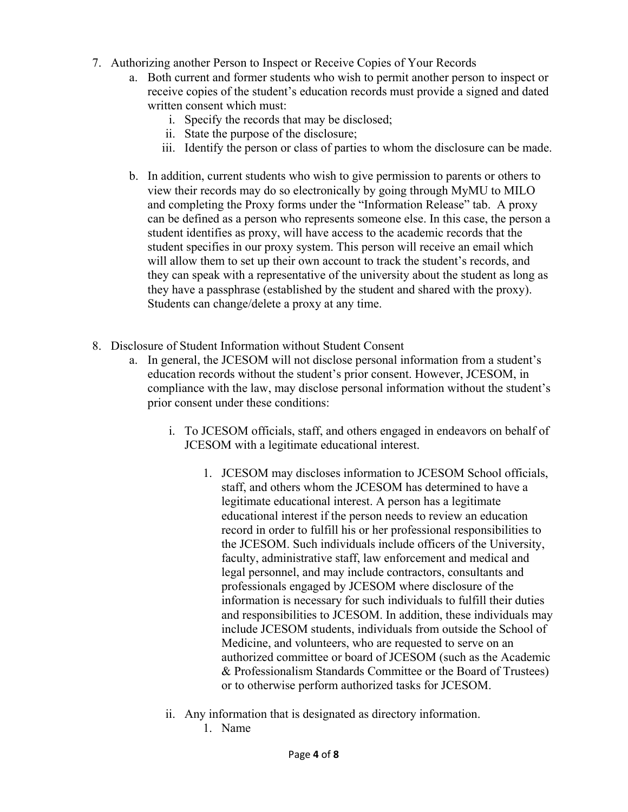- 7. Authorizing another Person to Inspect or Receive Copies of Your Records
	- a. Both current and former students who wish to permit another person to inspect or receive copies of the student's education records must provide a signed and dated written consent which must:
		- i. Specify the records that may be disclosed;
		- ii. State the purpose of the disclosure;
		- iii. Identify the person or class of parties to whom the disclosure can be made.
	- b. In addition, current students who wish to give permission to parents or others to view their records may do so electronically by going through MyMU to MILO and completing the Proxy forms under the "Information Release" tab. A proxy can be defined as a person who represents someone else. In this case, the person a student identifies as proxy, will have access to the academic records that the student specifies in our proxy system. This person will receive an email which will allow them to set up their own account to track the student's records, and they can speak with a representative of the university about the student as long as they have a passphrase (established by the student and shared with the proxy). Students can change/delete a proxy at any time.
- 8. Disclosure of Student Information without Student Consent
	- a. In general, the JCESOM will not disclose personal information from a student's education records without the student's prior consent. However, JCESOM, in compliance with the law, may disclose personal information without the student's prior consent under these conditions:
		- i. To JCESOM officials, staff, and others engaged in endeavors on behalf of JCESOM with a legitimate educational interest.
			- 1. JCESOM may discloses information to JCESOM School officials, staff, and others whom the JCESOM has determined to have a legitimate educational interest. A person has a legitimate educational interest if the person needs to review an education record in order to fulfill his or her professional responsibilities to the JCESOM. Such individuals include officers of the University, faculty, administrative staff, law enforcement and medical and legal personnel, and may include contractors, consultants and professionals engaged by JCESOM where disclosure of the information is necessary for such individuals to fulfill their duties and responsibilities to JCESOM. In addition, these individuals may include JCESOM students, individuals from outside the School of Medicine, and volunteers, who are requested to serve on an authorized committee or board of JCESOM (such as the Academic & Professionalism Standards Committee or the Board of Trustees) or to otherwise perform authorized tasks for JCESOM.
		- ii. Any information that is designated as directory information.
			- 1. Name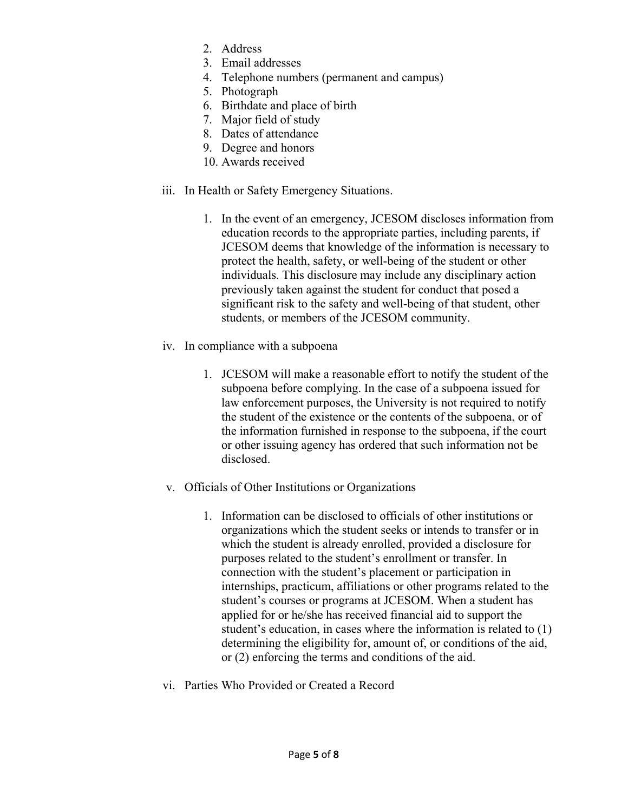- 2. Address
- 3. Email addresses
- 4. Telephone numbers (permanent and campus)
- 5. Photograph
- 6. Birthdate and place of birth
- 7. Major field of study
- 8. Dates of attendance
- 9. Degree and honors
- 10. Awards received
- iii. In Health or Safety Emergency Situations.
	- 1. In the event of an emergency, JCESOM discloses information from education records to the appropriate parties, including parents, if JCESOM deems that knowledge of the information is necessary to protect the health, safety, or well-being of the student or other individuals. This disclosure may include any disciplinary action previously taken against the student for conduct that posed a significant risk to the safety and well-being of that student, other students, or members of the JCESOM community.
- iv. In compliance with a subpoena
	- 1. JCESOM will make a reasonable effort to notify the student of the subpoena before complying. In the case of a subpoena issued for law enforcement purposes, the University is not required to notify the student of the existence or the contents of the subpoena, or of the information furnished in response to the subpoena, if the court or other issuing agency has ordered that such information not be disclosed.
- v. Officials of Other Institutions or Organizations
	- 1. Information can be disclosed to officials of other institutions or organizations which the student seeks or intends to transfer or in which the student is already enrolled, provided a disclosure for purposes related to the student's enrollment or transfer. In connection with the student's placement or participation in internships, practicum, affiliations or other programs related to the student's courses or programs at JCESOM. When a student has applied for or he/she has received financial aid to support the student's education, in cases where the information is related to (1) determining the eligibility for, amount of, or conditions of the aid, or (2) enforcing the terms and conditions of the aid.
- vi. Parties Who Provided or Created a Record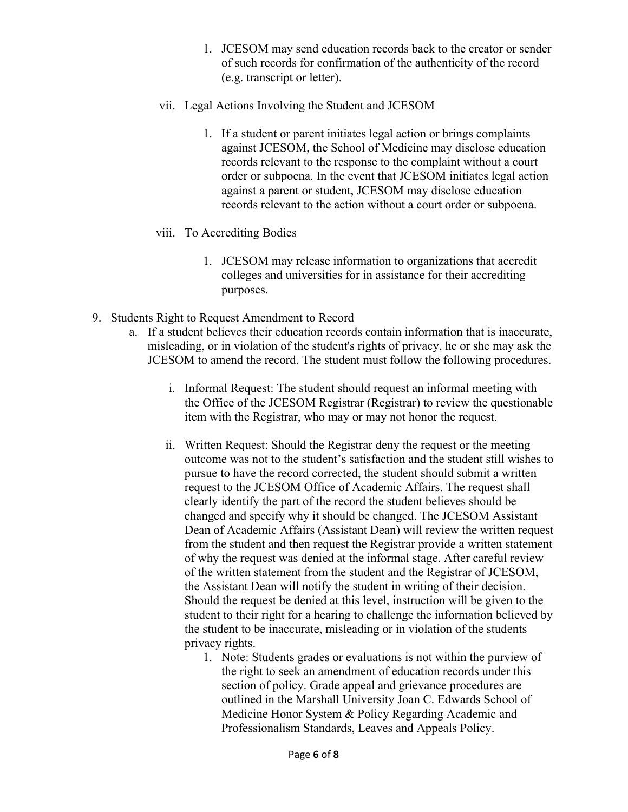- 1. JCESOM may send education records back to the creator or sender of such records for confirmation of the authenticity of the record (e.g. transcript or letter).
- vii. Legal Actions Involving the Student and JCESOM
	- 1. If a student or parent initiates legal action or brings complaints against JCESOM, the School of Medicine may disclose education records relevant to the response to the complaint without a court order or subpoena. In the event that JCESOM initiates legal action against a parent or student, JCESOM may disclose education records relevant to the action without a court order or subpoena.
- viii. To Accrediting Bodies
	- 1. JCESOM may release information to organizations that accredit colleges and universities for in assistance for their accrediting purposes.
- 9. Students Right to Request Amendment to Record
	- a. If a student believes their education records contain information that is inaccurate, misleading, or in violation of the student's rights of privacy, he or she may ask the JCESOM to amend the record. The student must follow the following procedures.
		- i. Informal Request: The student should request an informal meeting with the Office of the JCESOM Registrar (Registrar) to review the questionable item with the Registrar, who may or may not honor the request.
		- ii. Written Request: Should the Registrar deny the request or the meeting outcome was not to the student's satisfaction and the student still wishes to pursue to have the record corrected, the student should submit a written request to the JCESOM Office of Academic Affairs. The request shall clearly identify the part of the record the student believes should be changed and specify why it should be changed. The JCESOM Assistant Dean of Academic Affairs (Assistant Dean) will review the written request from the student and then request the Registrar provide a written statement of why the request was denied at the informal stage. After careful review of the written statement from the student and the Registrar of JCESOM, the Assistant Dean will notify the student in writing of their decision. Should the request be denied at this level, instruction will be given to the student to their right for a hearing to challenge the information believed by the student to be inaccurate, misleading or in violation of the students privacy rights.
			- 1. Note: Students grades or evaluations is not within the purview of the right to seek an amendment of education records under this section of policy. Grade appeal and grievance procedures are outlined in the Marshall University Joan C. Edwards School of Medicine Honor System & Policy Regarding Academic and Professionalism Standards, Leaves and Appeals Policy.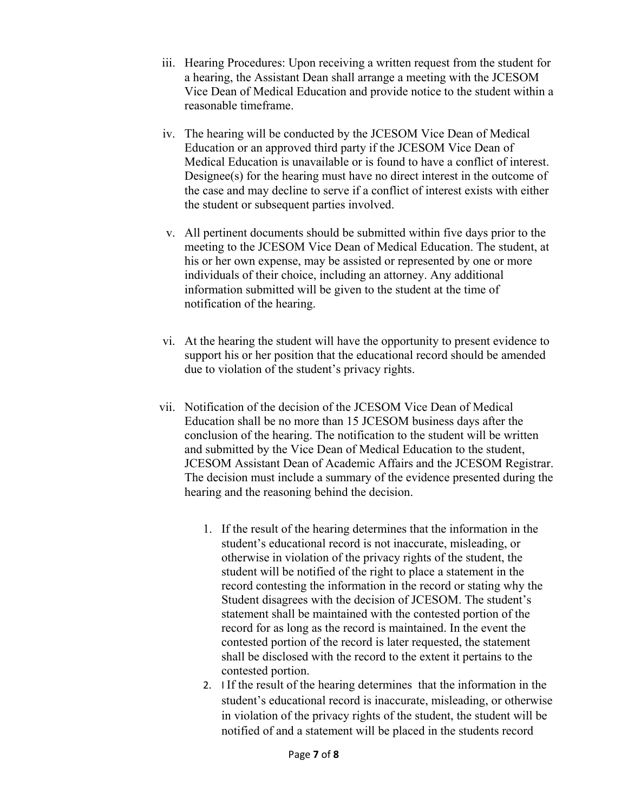- iii. Hearing Procedures: Upon receiving a written request from the student for a hearing, the Assistant Dean shall arrange a meeting with the JCESOM Vice Dean of Medical Education and provide notice to the student within a reasonable timeframe.
- iv. The hearing will be conducted by the JCESOM Vice Dean of Medical Education or an approved third party if the JCESOM Vice Dean of Medical Education is unavailable or is found to have a conflict of interest. Designee(s) for the hearing must have no direct interest in the outcome of the case and may decline to serve if a conflict of interest exists with either the student or subsequent parties involved.
- v. All pertinent documents should be submitted within five days prior to the meeting to the JCESOM Vice Dean of Medical Education. The student, at his or her own expense, may be assisted or represented by one or more individuals of their choice, including an attorney. Any additional information submitted will be given to the student at the time of notification of the hearing.
- vi. At the hearing the student will have the opportunity to present evidence to support his or her position that the educational record should be amended due to violation of the student's privacy rights.
- vii. Notification of the decision of the JCESOM Vice Dean of Medical Education shall be no more than 15 JCESOM business days after the conclusion of the hearing. The notification to the student will be written and submitted by the Vice Dean of Medical Education to the student, JCESOM Assistant Dean of Academic Affairs and the JCESOM Registrar. The decision must include a summary of the evidence presented during the hearing and the reasoning behind the decision.
	- 1. If the result of the hearing determines that the information in the student's educational record is not inaccurate, misleading, or otherwise in violation of the privacy rights of the student, the student will be notified of the right to place a statement in the record contesting the information in the record or stating why the Student disagrees with the decision of JCESOM. The student's statement shall be maintained with the contested portion of the record for as long as the record is maintained. In the event the contested portion of the record is later requested, the statement shall be disclosed with the record to the extent it pertains to the contested portion.
	- 2. I If the result of the hearing determines that the information in the student's educational record is inaccurate, misleading, or otherwise in violation of the privacy rights of the student, the student will be notified of and a statement will be placed in the students record